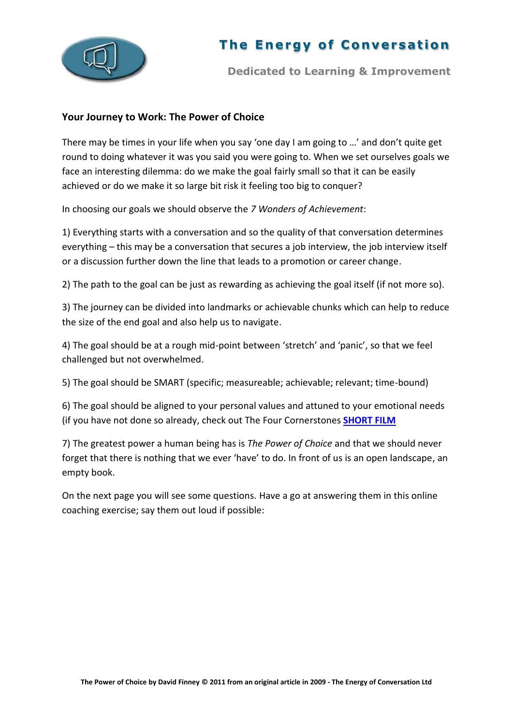

## **The Energy of Conversation**

**Dedicated to Learning & Improvement**

## **Your Journey to Work: The Power of Choice**

There may be times in your life when you say 'one day I am going to …' and don't quite get round to doing whatever it was you said you were going to. When we set ourselves goals we face an interesting dilemma: do we make the goal fairly small so that it can be easily achieved or do we make it so large bit risk it feeling too big to conquer?

In choosing our goals we should observe the *7 Wonders of Achievement*:

1) Everything starts with a conversation and so the quality of that conversation determines everything – this may be a conversation that secures a job interview, the job interview itself or a discussion further down the line that leads to a promotion or career change.

2) The path to the goal can be just as rewarding as achieving the goal itself (if not more so).

3) The journey can be divided into landmarks or achievable chunks which can help to reduce the size of the end goal and also help us to navigate.

4) The goal should be at a rough mid-point between 'stretch' and 'panic', so that we feel challenged but not overwhelmed.

5) The goal should be SMART (specific; measureable; achievable; relevant; time-bound)

6) The goal should be aligned to your personal values and attuned to your emotional needs (if you have not done so already, check out The Four Cornerstones **[SHORT FILM](http://www.youtube.com/watch?v=CXjrOUll6as&feature=g-upl&context=G2e1e198AUAAAAAAABAA)**

7) The greatest power a human being has is *The Power of Choice* and that we should never forget that there is nothing that we ever 'have' to do. In front of us is an open landscape, an empty book.

On the next page you will see some questions. Have a go at answering them in this online coaching exercise; say them out loud if possible: